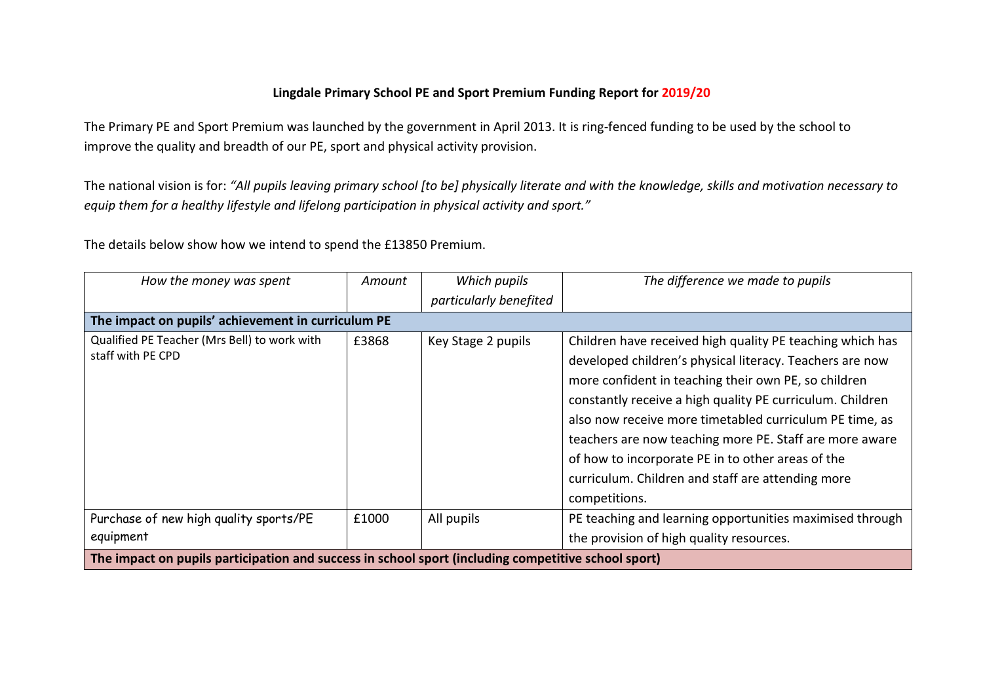## **Lingdale Primary School PE and Sport Premium Funding Report for 2019/20**

The Primary PE and Sport Premium was launched by the government in April 2013. It is ring-fenced funding to be used by the school to improve the quality and breadth of our PE, sport and physical activity provision.

The national vision is for: *"All pupils leaving primary school [to be] physically literate and with the knowledge, skills and motivation necessary to equip them for a healthy lifestyle and lifelong participation in physical activity and sport."*

The details below show how we intend to spend the £13850 Premium.

| How the money was spent                                                                             | Amount | Which pupils           | The difference we made to pupils                          |  |  |
|-----------------------------------------------------------------------------------------------------|--------|------------------------|-----------------------------------------------------------|--|--|
|                                                                                                     |        | particularly benefited |                                                           |  |  |
| The impact on pupils' achievement in curriculum PE                                                  |        |                        |                                                           |  |  |
| Qualified PE Teacher (Mrs Bell) to work with<br>staff with PE CPD                                   | £3868  | Key Stage 2 pupils     | Children have received high quality PE teaching which has |  |  |
|                                                                                                     |        |                        | developed children's physical literacy. Teachers are now  |  |  |
|                                                                                                     |        |                        | more confident in teaching their own PE, so children      |  |  |
|                                                                                                     |        |                        | constantly receive a high quality PE curriculum. Children |  |  |
|                                                                                                     |        |                        | also now receive more timetabled curriculum PE time, as   |  |  |
|                                                                                                     |        |                        | teachers are now teaching more PE. Staff are more aware   |  |  |
|                                                                                                     |        |                        | of how to incorporate PE in to other areas of the         |  |  |
|                                                                                                     |        |                        | curriculum. Children and staff are attending more         |  |  |
|                                                                                                     |        |                        | competitions.                                             |  |  |
| Purchase of new high quality sports/PE<br>equipment                                                 | £1000  | All pupils             | PE teaching and learning opportunities maximised through  |  |  |
|                                                                                                     |        |                        | the provision of high quality resources.                  |  |  |
| The impact on pupils participation and success in school sport (including competitive school sport) |        |                        |                                                           |  |  |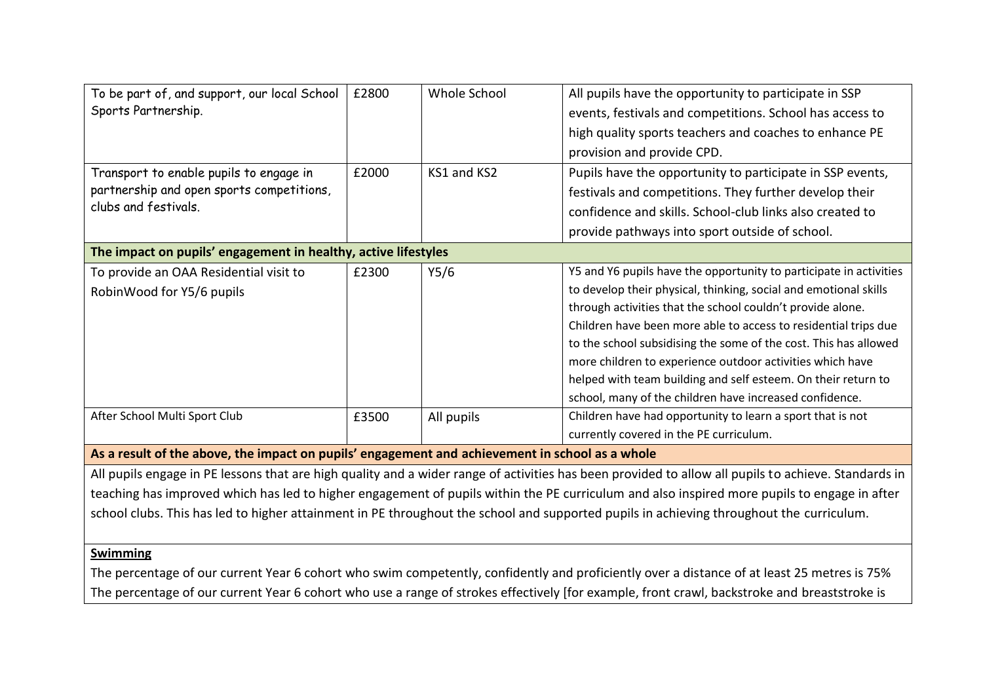| To be part of, and support, our local School                                                                                                         | £2800 | Whole School | All pupils have the opportunity to participate in SSP              |  |
|------------------------------------------------------------------------------------------------------------------------------------------------------|-------|--------------|--------------------------------------------------------------------|--|
| Sports Partnership.                                                                                                                                  |       |              | events, festivals and competitions. School has access to           |  |
|                                                                                                                                                      |       |              | high quality sports teachers and coaches to enhance PE             |  |
|                                                                                                                                                      |       |              | provision and provide CPD.                                         |  |
| Transport to enable pupils to engage in<br>partnership and open sports competitions,<br>clubs and festivals.                                         | £2000 | KS1 and KS2  | Pupils have the opportunity to participate in SSP events,          |  |
|                                                                                                                                                      |       |              | festivals and competitions. They further develop their             |  |
|                                                                                                                                                      |       |              | confidence and skills. School-club links also created to           |  |
|                                                                                                                                                      |       |              | provide pathways into sport outside of school.                     |  |
| The impact on pupils' engagement in healthy, active lifestyles                                                                                       |       |              |                                                                    |  |
| To provide an OAA Residential visit to                                                                                                               | £2300 | Y5/6         | Y5 and Y6 pupils have the opportunity to participate in activities |  |
| RobinWood for Y5/6 pupils                                                                                                                            |       |              | to develop their physical, thinking, social and emotional skills   |  |
|                                                                                                                                                      |       |              | through activities that the school couldn't provide alone.         |  |
|                                                                                                                                                      |       |              | Children have been more able to access to residential trips due    |  |
|                                                                                                                                                      |       |              | to the school subsidising the some of the cost. This has allowed   |  |
|                                                                                                                                                      |       |              | more children to experience outdoor activities which have          |  |
|                                                                                                                                                      |       |              | helped with team building and self esteem. On their return to      |  |
|                                                                                                                                                      |       |              | school, many of the children have increased confidence.            |  |
| After School Multi Sport Club                                                                                                                        | £3500 | All pupils   | Children have had opportunity to learn a sport that is not         |  |
|                                                                                                                                                      |       |              | currently covered in the PE curriculum.                            |  |
| As a result of the above, the impact on pupils' engagement and achievement in school as a whole                                                      |       |              |                                                                    |  |
| All pupils engage in PE lessons that are high quality and a wider range of activities has been provided to allow all pupils to achieve. Standards in |       |              |                                                                    |  |
| teaching has improved which has led to higher engagement of pupils within the PE curriculum and also inspired more pupils to engage in after         |       |              |                                                                    |  |
| school clubs. This has led to higher attainment in PE throughout the school and supported pupils in achieving throughout the curriculum.             |       |              |                                                                    |  |
|                                                                                                                                                      |       |              |                                                                    |  |
| <b>Swimming</b>                                                                                                                                      |       |              |                                                                    |  |
|                                                                                                                                                      |       |              |                                                                    |  |

The percentage of our current Year 6 cohort who swim competently, confidently and proficiently over a distance of at least 25 metres is 75% The percentage of our current Year 6 cohort who use a range of strokes effectively [for example, front crawl, backstroke and breaststroke is